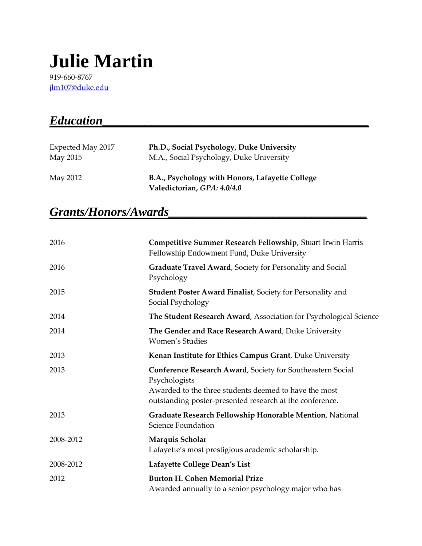# **Julie Martin**

919-660-8767 [jlm107@duke.edu](mailto:jlm107@duke.edu)

| <b>Education</b>              |                                                                                       |
|-------------------------------|---------------------------------------------------------------------------------------|
| Expected May 2017<br>May 2015 | Ph.D., Social Psychology, Duke University<br>M.A., Social Psychology, Duke University |
| May 2012                      | B.A., Psychology with Honors, Lafayette College<br>Valedictorian, GPA: 4.0/4.0        |

# $Grants/Honors/Awards$

| 2016      | Competitive Summer Research Fellowship, Stuart Irwin Harris<br>Fellowship Endowment Fund, Duke University                                                                                        |
|-----------|--------------------------------------------------------------------------------------------------------------------------------------------------------------------------------------------------|
| 2016      | Graduate Travel Award, Society for Personality and Social<br>Psychology                                                                                                                          |
| 2015      | <b>Student Poster Award Finalist, Society for Personality and</b><br>Social Psychology                                                                                                           |
| 2014      | The Student Research Award, Association for Psychological Science                                                                                                                                |
| 2014      | The Gender and Race Research Award, Duke University<br><b>Women's Studies</b>                                                                                                                    |
| 2013      | Kenan Institute for Ethics Campus Grant, Duke University                                                                                                                                         |
| 2013      | Conference Research Award, Society for Southeastern Social<br>Psychologists<br>Awarded to the three students deemed to have the most<br>outstanding poster-presented research at the conference. |
| 2013      | Graduate Research Fellowship Honorable Mention, National<br>Science Foundation                                                                                                                   |
| 2008-2012 | Marquis Scholar<br>Lafayette's most prestigious academic scholarship.                                                                                                                            |
| 2008-2012 | Lafayette College Dean's List                                                                                                                                                                    |
| 2012      | <b>Burton H. Cohen Memorial Prize</b><br>Awarded annually to a senior psychology major who has                                                                                                   |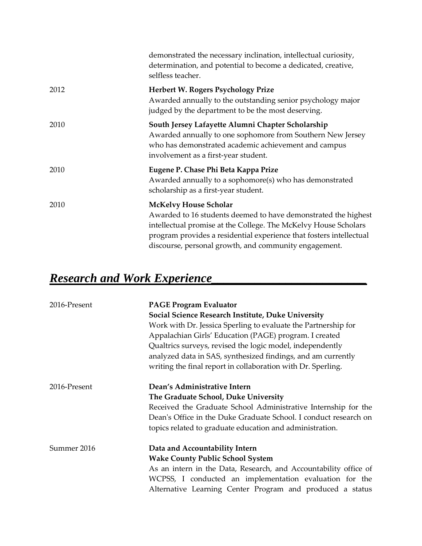|      | demonstrated the necessary inclination, intellectual curiosity,<br>determination, and potential to become a dedicated, creative,<br>selfless teacher.                                                                                                                                             |
|------|---------------------------------------------------------------------------------------------------------------------------------------------------------------------------------------------------------------------------------------------------------------------------------------------------|
| 2012 | Herbert W. Rogers Psychology Prize<br>Awarded annually to the outstanding senior psychology major<br>judged by the department to be the most deserving.                                                                                                                                           |
| 2010 | South Jersey Lafayette Alumni Chapter Scholarship<br>Awarded annually to one sophomore from Southern New Jersey<br>who has demonstrated academic achievement and campus<br>involvement as a first-year student.                                                                                   |
| 2010 | Eugene P. Chase Phi Beta Kappa Prize<br>Awarded annually to a sophomore(s) who has demonstrated<br>scholarship as a first-year student.                                                                                                                                                           |
| 2010 | <b>McKelvy House Scholar</b><br>Awarded to 16 students deemed to have demonstrated the highest<br>intellectual promise at the College. The McKelvy House Scholars<br>program provides a residential experience that fosters intellectual<br>discourse, personal growth, and community engagement. |

# *Research and Work Experience\_\_\_\_\_\_\_\_\_\_\_\_\_\_\_\_\_\_\_\_\_\_\_\_\_*

| 2016-Present | <b>PAGE Program Evaluator</b>                                    |
|--------------|------------------------------------------------------------------|
|              | Social Science Research Institute, Duke University               |
|              | Work with Dr. Jessica Sperling to evaluate the Partnership for   |
|              | Appalachian Girls' Education (PAGE) program. I created           |
|              | Qualtrics surveys, revised the logic model, independently        |
|              | analyzed data in SAS, synthesized findings, and am currently     |
|              | writing the final report in collaboration with Dr. Sperling.     |
| 2016-Present | Dean's Administrative Intern                                     |
|              | The Graduate School, Duke University                             |
|              | Received the Graduate School Administrative Internship for the   |
|              | Dean's Office in the Duke Graduate School. I conduct research on |
|              | topics related to graduate education and administration.         |
| Summer 2016  | Data and Accountability Intern                                   |
|              | <b>Wake County Public School System</b>                          |
|              | As an intern in the Data, Research, and Accountability office of |
|              | WCPSS, I conducted an implementation evaluation for the          |
|              | Alternative Learning Center Program and produced a status        |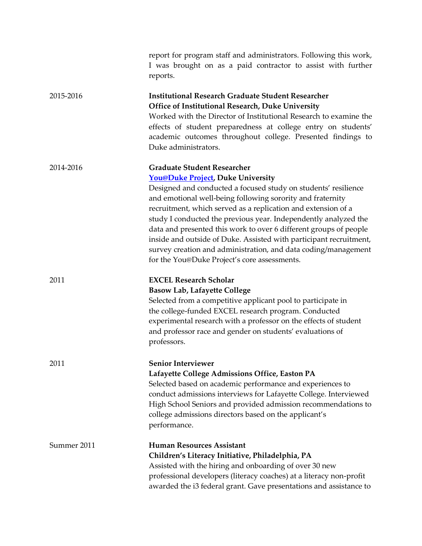|             | report for program staff and administrators. Following this work,<br>I was brought on as a paid contractor to assist with further<br>reports.                                                                                                                                                                                                                                                                                                                                                                                                                                                                    |
|-------------|------------------------------------------------------------------------------------------------------------------------------------------------------------------------------------------------------------------------------------------------------------------------------------------------------------------------------------------------------------------------------------------------------------------------------------------------------------------------------------------------------------------------------------------------------------------------------------------------------------------|
| 2015-2016   | <b>Institutional Research Graduate Student Researcher</b><br>Office of Institutional Research, Duke University<br>Worked with the Director of Institutional Research to examine the<br>effects of student preparedness at college entry on students'<br>academic outcomes throughout college. Presented findings to<br>Duke administrators.                                                                                                                                                                                                                                                                      |
| 2014-2016   | <b>Graduate Student Researcher</b><br><b>You@Duke Project</b> , Duke University<br>Designed and conducted a focused study on students' resilience<br>and emotional well-being following sorority and fraternity<br>recruitment, which served as a replication and extension of a<br>study I conducted the previous year. Independently analyzed the<br>data and presented this work to over 6 different groups of people<br>inside and outside of Duke. Assisted with participant recruitment,<br>survey creation and administration, and data coding/management<br>for the You@Duke Project's core assessments. |
| 2011        | <b>EXCEL Research Scholar</b><br><b>Basow Lab, Lafayette College</b><br>Selected from a competitive applicant pool to participate in<br>the college-funded EXCEL research program. Conducted<br>experimental research with a professor on the effects of student<br>and professor race and gender on students' evaluations of<br>professors.                                                                                                                                                                                                                                                                     |
| 2011        | <b>Senior Interviewer</b><br>Lafayette College Admissions Office, Easton PA<br>Selected based on academic performance and experiences to<br>conduct admissions interviews for Lafayette College. Interviewed<br>High School Seniors and provided admission recommendations to<br>college admissions directors based on the applicant's<br>performance.                                                                                                                                                                                                                                                           |
| Summer 2011 | <b>Human Resources Assistant</b><br>Children's Literacy Initiative, Philadelphia, PA<br>Assisted with the hiring and onboarding of over 30 new<br>professional developers (literacy coaches) at a literacy non-profit<br>awarded the i3 federal grant. Gave presentations and assistance to                                                                                                                                                                                                                                                                                                                      |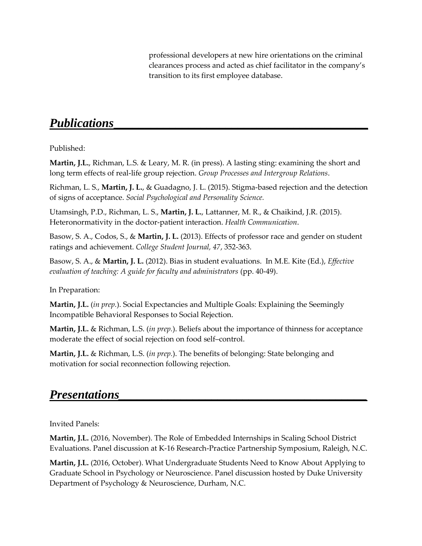professional developers at new hire orientations on the criminal clearances process and acted as chief facilitator in the company's transition to its first employee database.

### *Publications***\_\_\_\_\_\_\_\_\_\_\_\_\_\_\_\_\_\_\_\_\_\_\_\_\_\_\_\_\_\_\_\_\_\_\_\_\_\_\_\_\_**

#### Published:

**Martin, J.L.**, Richman, L.S. & Leary, M. R. (in press). A lasting sting: examining the short and long term effects of real-life group rejection. *Group Processes and Intergroup Relations*.

Richman, L. S., **Martin, J. L.**, & Guadagno, J. L. (2015). Stigma-based rejection and the detection of signs of acceptance. *Social Psychological and Personality Science.*

Utamsingh, P.D., Richman, L. S., **Martin, J. L.**, Lattanner, M. R., & Chaikind, J.R. (2015). Heteronormativity in the doctor-patient interaction. *Health Communication*.

Basow, S. A., Codos, S., & **Martin, J. L.** (2013). Effects of professor race and gender on student ratings and achievement. *College Student Journal, 47*, 352-363.

Basow, S. A., & **Martin, J. L.** (2012). Bias in student evaluations. In M.E. Kite (Ed.), *Effective evaluation of teaching: A guide for faculty and administrators* (pp. 40-49).

In Preparation:

**Martin, J.L.** (*in prep.*). Social Expectancies and Multiple Goals: Explaining the Seemingly Incompatible Behavioral Responses to Social Rejection.

**Martin, J.L.** & Richman, L.S. (*in prep.*). Beliefs about the importance of thinness for acceptance moderate the effect of social rejection on food self–control.

**Martin, J.L.** & Richman, L.S. (*in prep.*). The benefits of belonging: State belonging and motivation for social reconnection following rejection.

### *Presentations*

Invited Panels:

**Martin, J.L.** (2016, November). The Role of Embedded Internships in Scaling School District Evaluations. Panel discussion at K-16 Research-Practice Partnership Symposium, Raleigh, N.C.

**Martin, J.L.** (2016, October). What Undergraduate Students Need to Know About Applying to Graduate School in Psychology or Neuroscience. Panel discussion hosted by Duke University Department of Psychology & Neuroscience, Durham, N.C.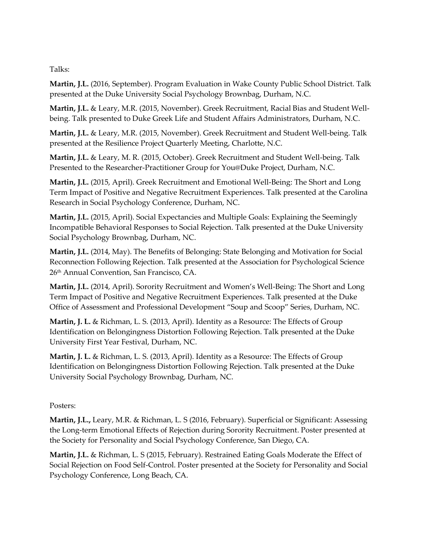Talks:

**Martin, J.L.** (2016, September). Program Evaluation in Wake County Public School District. Talk presented at the Duke University Social Psychology Brownbag, Durham, N.C.

**Martin, J.L.** & Leary, M.R. (2015, November). Greek Recruitment, Racial Bias and Student Wellbeing. Talk presented to Duke Greek Life and Student Affairs Administrators, Durham, N.C.

**Martin, J.L.** & Leary, M.R. (2015, November). Greek Recruitment and Student Well-being. Talk presented at the Resilience Project Quarterly Meeting, Charlotte, N.C.

**Martin, J.L.** & Leary, M. R. (2015, October). Greek Recruitment and Student Well-being. Talk Presented to the Researcher-Practitioner Group for You@Duke Project, Durham, N.C.

**Martin, J.L.** (2015, April). Greek Recruitment and Emotional Well-Being: The Short and Long Term Impact of Positive and Negative Recruitment Experiences. Talk presented at the Carolina Research in Social Psychology Conference, Durham, NC.

**Martin, J.L.** (2015, April). Social Expectancies and Multiple Goals: Explaining the Seemingly Incompatible Behavioral Responses to Social Rejection. Talk presented at the Duke University Social Psychology Brownbag, Durham, NC.

**Martin, J.L.** (2014, May). The Benefits of Belonging: State Belonging and Motivation for Social Reconnection Following Rejection. Talk presented at the Association for Psychological Science 26th Annual Convention, San Francisco, CA.

**Martin, J.L.** (2014, April). Sorority Recruitment and Women's Well-Being: The Short and Long Term Impact of Positive and Negative Recruitment Experiences. Talk presented at the Duke Office of Assessment and Professional Development "Soup and Scoop" Series, Durham, NC.

**Martin, J. L.** & Richman, L. S. (2013, April). Identity as a Resource: The Effects of Group Identification on Belongingness Distortion Following Rejection. Talk presented at the Duke University First Year Festival, Durham, NC.

**Martin, J. L.** & Richman, L. S. (2013, April). Identity as a Resource: The Effects of Group Identification on Belongingness Distortion Following Rejection. Talk presented at the Duke University Social Psychology Brownbag, Durham, NC.

Posters:

**Martin, J.L.,** Leary, M.R. & Richman, L. S (2016, February). Superficial or Significant: Assessing the Long-term Emotional Effects of Rejection during Sorority Recruitment. Poster presented at the Society for Personality and Social Psychology Conference, San Diego, CA.

**Martin, J.L.** & Richman, L. S (2015, February). Restrained Eating Goals Moderate the Effect of Social Rejection on Food Self-Control. Poster presented at the Society for Personality and Social Psychology Conference, Long Beach, CA.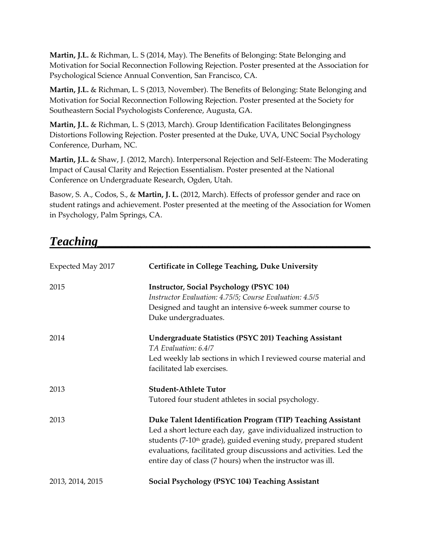**Martin, J.L.** & Richman, L. S (2014, May). The Benefits of Belonging: State Belonging and Motivation for Social Reconnection Following Rejection. Poster presented at the Association for Psychological Science Annual Convention, San Francisco, CA.

**Martin, J.L.** & Richman, L. S (2013, November). The Benefits of Belonging: State Belonging and Motivation for Social Reconnection Following Rejection. Poster presented at the Society for Southeastern Social Psychologists Conference, Augusta, GA.

**Martin, J.L.** & Richman, L. S (2013, March). Group Identification Facilitates Belongingness Distortions Following Rejection. Poster presented at the Duke, UVA, UNC Social Psychology Conference, Durham, NC.

**Martin, J.L.** & Shaw, J. (2012, March). Interpersonal Rejection and Self-Esteem: The Moderating Impact of Causal Clarity and Rejection Essentialism. Poster presented at the National Conference on Undergraduate Research, Ogden, Utah.

Basow, S. A., Codos, S., & **Martin, J. L.** (2012, March). Effects of professor gender and race on student ratings and achievement. Poster presented at the meeting of the Association for Women in Psychology, Palm Springs, CA.

### $\bf \textit{Teaching}$

| Expected May 2017 | Certificate in College Teaching, Duke University                                                                                                                                                                                                                                                                                                   |
|-------------------|----------------------------------------------------------------------------------------------------------------------------------------------------------------------------------------------------------------------------------------------------------------------------------------------------------------------------------------------------|
| 2015              | <b>Instructor, Social Psychology (PSYC 104)</b><br>Instructor Evaluation: 4.75/5; Course Evaluation: 4.5/5<br>Designed and taught an intensive 6-week summer course to<br>Duke undergraduates.                                                                                                                                                     |
| 2014              | <b>Undergraduate Statistics (PSYC 201) Teaching Assistant</b><br>TA Evaluation: 6.4/7<br>Led weekly lab sections in which I reviewed course material and<br>facilitated lab exercises.                                                                                                                                                             |
| 2013              | <b>Student-Athlete Tutor</b><br>Tutored four student athletes in social psychology.                                                                                                                                                                                                                                                                |
| 2013              | Duke Talent Identification Program (TIP) Teaching Assistant<br>Led a short lecture each day, gave individualized instruction to<br>students (7-10 <sup>th</sup> grade), guided evening study, prepared student<br>evaluations, facilitated group discussions and activities. Led the<br>entire day of class (7 hours) when the instructor was ill. |
| 2013, 2014, 2015  | Social Psychology (PSYC 104) Teaching Assistant                                                                                                                                                                                                                                                                                                    |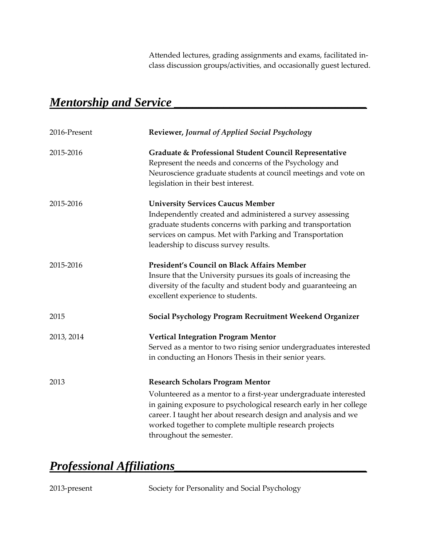Attended lectures, grading assignments and exams, facilitated inclass discussion groups/activities, and occasionally guest lectured.

### *Mentorship and Service \_\_\_\_\_\_\_\_\_\_\_\_\_\_\_\_\_\_\_\_\_\_\_\_\_\_\_\_\_\_\_*

| 2016-Present | Reviewer, Journal of Applied Social Psychology                                                                                                                                                                                                                                                                                            |
|--------------|-------------------------------------------------------------------------------------------------------------------------------------------------------------------------------------------------------------------------------------------------------------------------------------------------------------------------------------------|
| 2015-2016    | Graduate & Professional Student Council Representative<br>Represent the needs and concerns of the Psychology and<br>Neuroscience graduate students at council meetings and vote on<br>legislation in their best interest.                                                                                                                 |
| 2015-2016    | <b>University Services Caucus Member</b><br>Independently created and administered a survey assessing<br>graduate students concerns with parking and transportation<br>services on campus. Met with Parking and Transportation<br>leadership to discuss survey results.                                                                   |
| 2015-2016    | <b>President's Council on Black Affairs Member</b><br>Insure that the University pursues its goals of increasing the<br>diversity of the faculty and student body and guaranteeing an<br>excellent experience to students.                                                                                                                |
| 2015         | Social Psychology Program Recruitment Weekend Organizer                                                                                                                                                                                                                                                                                   |
| 2013, 2014   | <b>Vertical Integration Program Mentor</b><br>Served as a mentor to two rising senior undergraduates interested<br>in conducting an Honors Thesis in their senior years.                                                                                                                                                                  |
| 2013         | <b>Research Scholars Program Mentor</b><br>Volunteered as a mentor to a first-year undergraduate interested<br>in gaining exposure to psychological research early in her college<br>career. I taught her about research design and analysis and we<br>worked together to complete multiple research projects<br>throughout the semester. |

### *Professional Affiliations\_\_\_\_\_\_\_\_\_\_\_\_\_\_\_\_\_\_\_\_\_\_\_\_\_\_\_\_\_\_\_*

2013-present Society for Personality and Social Psychology